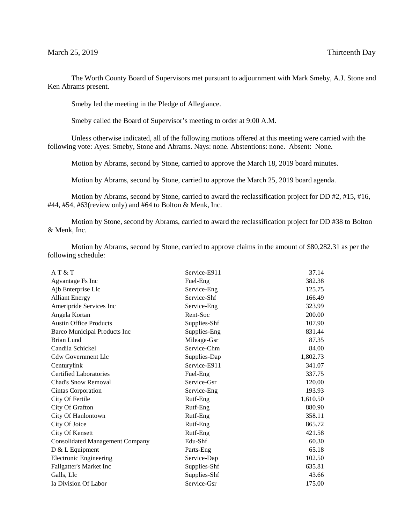The Worth County Board of Supervisors met pursuant to adjournment with Mark Smeby, A.J. Stone and Ken Abrams present.

Smeby led the meeting in the Pledge of Allegiance.

Smeby called the Board of Supervisor's meeting to order at 9:00 A.M.

Unless otherwise indicated, all of the following motions offered at this meeting were carried with the following vote: Ayes: Smeby, Stone and Abrams. Nays: none. Abstentions: none. Absent: None.

Motion by Abrams, second by Stone, carried to approve the March 18, 2019 board minutes.

Motion by Abrams, second by Stone, carried to approve the March 25, 2019 board agenda.

Motion by Abrams, second by Stone, carried to award the reclassification project for DD #2, #15, #16, #44, #54, #63(review only) and #64 to Bolton & Menk, Inc.

Motion by Stone, second by Abrams, carried to award the reclassification project for DD #38 to Bolton & Menk, Inc.

Motion by Abrams, second by Stone, carried to approve claims in the amount of \$80,282.31 as per the following schedule:

| AT & T                                 | Service-E911 | 37.14    |
|----------------------------------------|--------------|----------|
| Agvantage Fs Inc                       | Fuel-Eng     | 382.38   |
| Ajb Enterprise Llc                     | Service-Eng  | 125.75   |
| <b>Alliant Energy</b>                  | Service-Shf  | 166.49   |
| Ameripride Services Inc                | Service-Eng  | 323.99   |
| Angela Kortan                          | Rent-Soc     | 200.00   |
| <b>Austin Office Products</b>          | Supplies-Shf | 107.90   |
| <b>Barco Municipal Products Inc</b>    | Supplies-Eng | 831.44   |
| <b>Brian Lund</b>                      | Mileage-Gsr  | 87.35    |
| Candila Schickel                       | Service-Chm  | 84.00    |
| <b>Cdw Government Llc</b>              | Supplies-Dap | 1,802.73 |
| Centurylink                            | Service-E911 | 341.07   |
| <b>Certified Laboratories</b>          | Fuel-Eng     | 337.75   |
| Chad's Snow Removal                    | Service-Gsr  | 120.00   |
| Cintas Corporation                     | Service-Eng  | 193.93   |
| City Of Fertile                        | Rutf-Eng     | 1,610.50 |
| City Of Grafton                        | Rutf-Eng     | 880.90   |
| City Of Hanlontown                     | Rutf-Eng     | 358.11   |
| City Of Joice                          | Rutf-Eng     | 865.72   |
| City Of Kensett                        | Rutf-Eng     | 421.58   |
| <b>Consolidated Management Company</b> | Edu-Shf      | 60.30    |
| D & L Equipment                        | Parts-Eng    | 65.18    |
| <b>Electronic Engineering</b>          | Service-Dap  | 102.50   |
| Fallgatter's Market Inc                | Supplies-Shf | 635.81   |
| Galls, Llc                             | Supplies-Shf | 43.66    |
| Ia Division Of Labor                   | Service-Gsr  | 175.00   |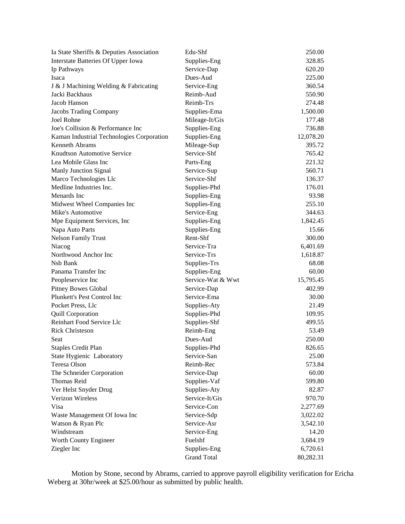| Ia State Sheriffs & Deputies Association  | Edu-Shf            | 250.00    |
|-------------------------------------------|--------------------|-----------|
| Interstate Batteries Of Upper Iowa        | Supplies-Eng       | 328.85    |
| Ip Pathways                               | Service-Dap        | 620.20    |
| Isaca                                     | Dues-Aud           | 225.00    |
| J & J Machining Welding & Fabricating     | Service-Eng        | 360.54    |
| Jacki Backhaus                            | Reimb-Aud          | 550.90    |
| Jacob Hanson                              | Reimb-Trs          | 274.48    |
| Jacobs Trading Company                    | Supplies-Ema       | 1,500.00  |
| Joel Rohne                                | Mileage-It/Gis     | 177.48    |
| Joe's Collision & Performance Inc         | Supplies-Eng       | 736.88    |
| Kaman Industrial Technologies Corporation | Supplies-Eng       | 12,078.20 |
| <b>Kenneth Abrams</b>                     | Mileage-Sup        | 395.72    |
| Knudtson Automotive Service               | Service-Shf        | 765.42    |
| Lea Mobile Glass Inc                      | Parts-Eng          | 221.32    |
| Manly Junction Signal                     | Service-Sup        | 560.71    |
| Marco Technologies Llc                    | Service-Shf        | 136.37    |
| Medline Industries Inc.                   | Supplies-Phd       | 176.01    |
| Menards Inc                               | Supplies-Eng       | 93.98     |
| Midwest Wheel Companies Inc               | Supplies-Eng       | 255.10    |
| Mike's Automotive                         | Service-Eng        | 344.63    |
| Mpe Equipment Services, Inc.              | Supplies-Eng       | 1,842.45  |
| Napa Auto Parts                           | Supplies-Eng       | 15.66     |
| <b>Nelson Family Trust</b>                | Rent-Shf           | 300.00    |
| Niacog                                    | Service-Tra        | 6,401.69  |
| Northwood Anchor Inc                      | Service-Trs        | 1,618.87  |
| Nsb Bank                                  | Supplies-Trs       | 68.08     |
| Panama Transfer Inc                       | Supplies-Eng       | 60.00     |
| Peopleservice Inc                         | Service-Wat & Wwt  | 15,795.45 |
| <b>Pitney Bowes Global</b>                | Service-Dap        | 402.99    |
| Plunkett's Pest Control Inc               | Service-Ema        | 30.00     |
| Pocket Press, Llc                         | Supplies-Aty       | 21.49     |
| <b>Quill Corporation</b>                  | Supplies-Phd       | 109.95    |
| Reinhart Food Service Llc                 | Supplies-Shf       | 499.55    |
| <b>Rick Christeson</b>                    | Reimb-Eng          | 53.49     |
| Seat                                      | Dues-Aud           | 250.00    |
| <b>Staples Credit Plan</b>                | Supplies-Phd       | 826.65    |
| State Hygienic Laboratory                 | Service-San        | 25.00     |
| Teresa Olson                              | Reimb-Rec          | 573.84    |
| The Schneider Corporation                 | Service-Dap        | 60.00     |
| Thomas Reid                               | Supplies-Vaf       | 599.80    |
| Ver Helst Snyder Drug                     | Supplies-Aty       | 82.87     |
| Verizon Wireless                          | Service-It/Gis     | 970.70    |
| Visa                                      | Service-Con        | 2,277.69  |
| Waste Management Of Iowa Inc              | Service-Sdp        | 3,022.02  |
| Watson & Ryan Plc                         | Service-Asr        | 3,542.10  |
| Windstream                                | Service-Eng        | 14.20     |
| Worth County Engineer                     | Fuelshf            | 3,684.19  |
| Ziegler Inc                               | Supplies-Eng       | 6,720.61  |
|                                           | <b>Grand Total</b> | 80,282.31 |

Motion by Stone, second by Abrams, carried to approve payroll eligibility verification for Ericha Weberg at 30hr/week at \$25.00/hour as submitted by public health.